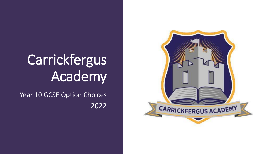## Carrickfergus Academy

Year 10 GCSE Option Choices 2022

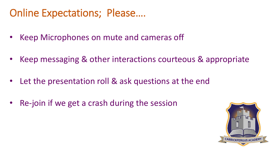## Online Expectations; Please….

- Keep Microphones on mute and cameras off
- Keep messaging & other interactions courteous & appropriate
- Let the presentation roll & ask questions at the end
- Re-join if we get a crash during the session

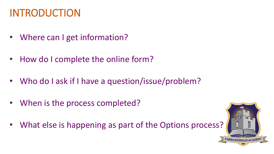## INTRODUCTION

- Where can I get information?
- How do I complete the online form?
- Who do I ask if I have a question/issue/problem?
- When is the process completed?
- What else is happening as part of the Options process?

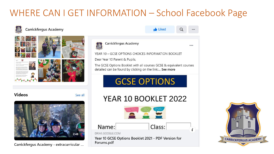#### WHERE CAN I GET INFORMATION – School Facebook Page



#### **Carrickfergus Academy**







**Liked** 

 $\alpha$ 

...

 $......$ 

**Videos** 

Carrickfergus Academy - extracurricular ...

See all

#### YEAR 10 BOOKLET 2022





Year 10 GCSE Options Booklet 2021 - PDF Version for Forums.pdf

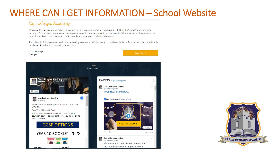#### WHERE CAN I GET INFORMATION – School Website

#### **Carrickfergus Academy**

Welcome to Carrickfergus Academy, an all ability, non-selective school for pupils aged 11-18 in the Carrickfergus area and beyond. As a school, we are committed to providing all the young people in our community with an educational experience that promotes aspiration, excellence and endeavour in a caring, pupil centred environment.

The school itself is situated across two neighbouring campuses, with Key Stage 3 pupils on the Junior Campus who then transition to Key Stage 4 and Sixth Form on the Senior Campus.



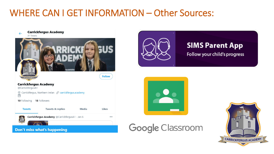#### WHERE CAN I GET INFORMATION – Other Sources:





#### **SIMS Parent App**

Follow your child's progress





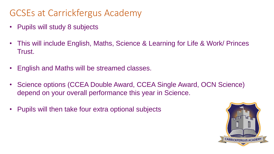#### GCSEs at Carrickfergus Academy

- Pupils will study 8 subjects
- This will include English, Maths, Science & Learning for Life & Work/ Princes Trust.
- English and Maths will be streamed classes.
- Science options (CCEA Double Award, CCEA Single Award, OCN Science) depend on your overall performance this year in Science.
- Pupils will then take four extra optional subjects

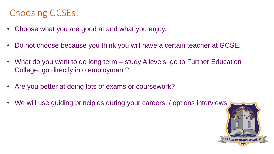#### Choosing GCSEs!

- Choose what you are good at and what you enjoy.
- Do not choose because you think you will have a certain teacher at GCSE.
- What do you want to do long term study A levels, go to Further Education College, go directly into employment?
- Are you better at doing lots of exams or coursework?
- We will use guiding principles during your careers / options interviews.

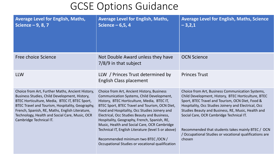#### GCSE Options Guidance

| <b>Average Level for English, Maths,</b><br>Science $-9, 8, 7$                                                                                                                                                                                                                                                                          | <b>Average Level for English, Maths,</b><br>Science $-6,5,4$                                                                                                                                                                                                                                                                                                                                                                                                                                                                                | <b>Average Level for English, Maths, Science</b><br>$-3,2,1$                                                                                                                                                                                                                                                                                                                                                                                    |
|-----------------------------------------------------------------------------------------------------------------------------------------------------------------------------------------------------------------------------------------------------------------------------------------------------------------------------------------|---------------------------------------------------------------------------------------------------------------------------------------------------------------------------------------------------------------------------------------------------------------------------------------------------------------------------------------------------------------------------------------------------------------------------------------------------------------------------------------------------------------------------------------------|-------------------------------------------------------------------------------------------------------------------------------------------------------------------------------------------------------------------------------------------------------------------------------------------------------------------------------------------------------------------------------------------------------------------------------------------------|
| Free choice Science                                                                                                                                                                                                                                                                                                                     | Not Double Award unless they have<br>7/8/9 in that subject                                                                                                                                                                                                                                                                                                                                                                                                                                                                                  | <b>OCN Science</b>                                                                                                                                                                                                                                                                                                                                                                                                                              |
| <b>LLW</b>                                                                                                                                                                                                                                                                                                                              | LLW / Princes Trust determined by<br><b>English Class placement</b>                                                                                                                                                                                                                                                                                                                                                                                                                                                                         | <b>Princes Trust</b>                                                                                                                                                                                                                                                                                                                                                                                                                            |
| Choice from Art, Further Maths, Ancient History,<br>Business Studies, Child Development, History,<br>BTEC Horticulture, Media, BTEC IT, BTEC Sport,<br>BTEC Travel and Tourism, Hospitality, Geography,<br>French, Spanish, RE, Maths, English Literature,<br>Technology, Health and Social Care, Music, OCR<br>Cambridge Technical IT. | Choice from Art, Ancient History, Business<br>Communication Systems, Child Development,<br>History, BTEC Horticulture, Media, BTEC IT,<br>BTEC Sport, BTEC Travel and Tourism, OCN Diet,<br>Food and Hospitality, Occ Studies Joinery and<br>Electrical, Occ Studies Beauty and Business,<br>Hospitality, Geography, French, Spanish, RE,<br>Music, Health and Social Care, OCR Cambridge<br>Technical IT, English Literature (level 5 or above)<br>Recommended minimum two BTEC /OCN /<br>Occupational Studies or vocational qualification | Choice from Art, Business Communication Systems,<br>Child Development, History, BTEC Horticulture, BTEC<br>Sport, BTEC Travel and Tourism, OCN Diet, Food &<br>Hospitality, Occ Studies Joinery and Electrical, Occ<br>Studies Beauty and Business, RE, Music, Health and<br>Social Care, OCR Cambridge Technical IT.<br>Recommended that students takes mainly BTEC / OCN<br>/ Occupational Studies or vocational qualifications are<br>chosen |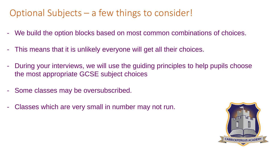#### Optional Subjects – a few things to consider!

- We build the option blocks based on most common combinations of choices.
- This means that it is unlikely everyone will get all their choices.
- During your interviews, we will use the guiding principles to help pupils choose the most appropriate GCSE subject choices
- Some classes may be oversubscribed.
- Classes which are very small in number may not run.

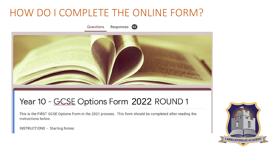#### HOW DO I COMPLETE THE ONLINE FORM?





#### Year 10 - GCSE Options Form 2022 ROUND 1

This is the FIRST GCSE Options Form in the 2021 process. This form should be completed after reading the instructions below.

**INSTRUCTIONS - Starting Notes:** 

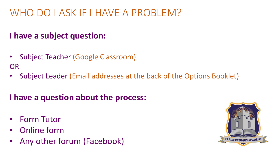## WHO DO I ASK IF I HAVE A PROBLEM?

#### **I have a subject question:**

- Subject Teacher (Google Classroom) OR
- Subject Leader (Email addresses at the back of the Options Booklet)

#### **I have a question about the process:**

- Form Tutor
- Online form
- Any other forum (Facebook)

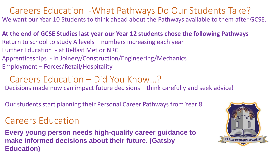#### Careers Education -What Pathways Do Our Students Take? We want our Year 10 Students to think ahead about the Pathways available to them after GCSE.

**At the end of GCSE Studies last year our Year 12 students chose the following Pathways** Return to school to study A levels – numbers increasing each year Further Education - at Belfast Met or NRC Apprenticeships - in Joinery/Construction/Engineering/Mechanics Employment – Forces/Retail/Hospitality

#### Careers Education – Did You Know…?

Decisions made now can impact future decisions – think carefully and seek advice!

Our students start planning their Personal Career Pathways from Year 8

#### Careers Education

**Every young person needs high-quality career guidance to make informed decisions about their future. (Gatsby Education)**

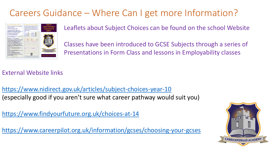#### Careers Guidance – Where Can I get more Information?



Leaflets about Subject Choices can be found on the school Website

Classes have been introduced to GCSE Subjects through a series of Presentations in Form Class and lessons in Employability classes

#### External Website links

<https://www.nidirect.gov.uk/articles/subject-choices-year-10> (especially good if you aren't sure what career pathway would suit you)

<https://www.findyourfuture.org.uk/choices-at-14>

<https://www.careerpilot.org.uk/information/gcses/choosing-your-gcses>